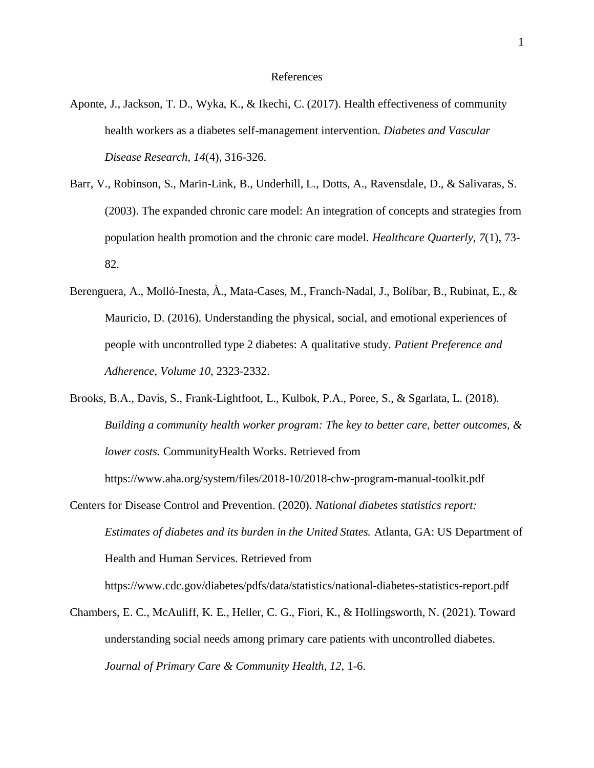- Aponte, J., Jackson, T. D., Wyka, K., & Ikechi, C. (2017). Health effectiveness of community health workers as a diabetes self-management intervention. *Diabetes and Vascular Disease Research, 14*(4), 316-326.
- Barr, V., Robinson, S., Marin-Link, B., Underhill, L., Dotts, A., Ravensdale, D., & Salivaras, S. (2003). The expanded chronic care model: An integration of concepts and strategies from population health promotion and the chronic care model. *Healthcare Quarterly, 7*(1), 73- 82.
- Berenguera, A., Molló-Inesta, À., Mata-Cases, M., Franch-Nadal, J., Bolíbar, B., Rubinat, E., & Mauricio, D. (2016). Understanding the physical, social, and emotional experiences of people with uncontrolled type 2 diabetes: A qualitative study. *Patient Preference and Adherence, Volume 10*, 2323-2332.
- Brooks, B.A., Davis, S., Frank-Lightfoot, L., Kulbok, P.A., Poree, S., & Sgarlata, L. (2018). *Building a community health worker program: The key to better care, better outcomes, & lower costs.* CommunityHealth Works. Retrieved from https://www.aha.org/system/files/2018-10/2018-chw-program-manual-toolkit.pdf
- Centers for Disease Control and Prevention. (2020). *National diabetes statistics report: Estimates of diabetes and its burden in the United States.* Atlanta, GA: US Department of Health and Human Services. Retrieved from

https://www.cdc.gov/diabetes/pdfs/data/statistics/national-diabetes-statistics-report.pdf

Chambers, E. C., McAuliff, K. E., Heller, C. G., Fiori, K., & Hollingsworth, N. (2021). Toward understanding social needs among primary care patients with uncontrolled diabetes. *Journal of Primary Care & Community Health, 12*, 1-6.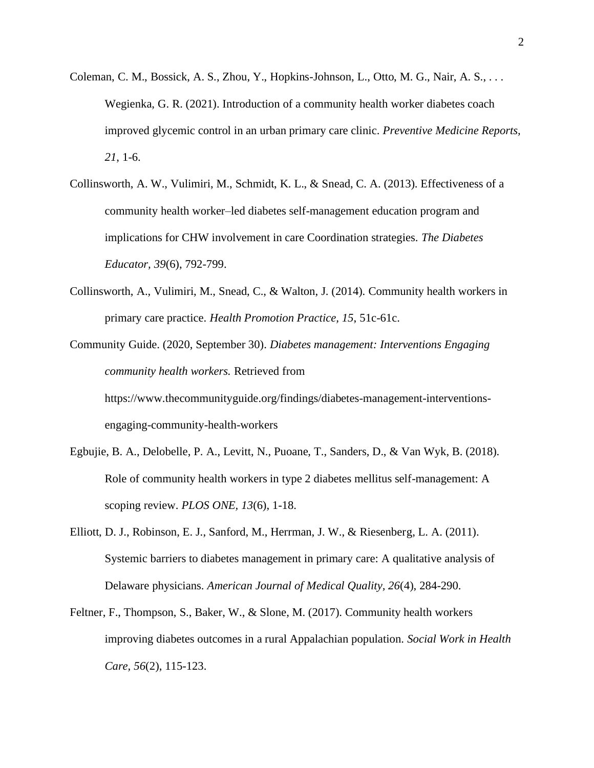- Coleman, C. M., Bossick, A. S., Zhou, Y., Hopkins-Johnson, L., Otto, M. G., Nair, A. S., . . . Wegienka, G. R. (2021). Introduction of a community health worker diabetes coach improved glycemic control in an urban primary care clinic. *Preventive Medicine Reports, 21*, 1-6.
- Collinsworth, A. W., Vulimiri, M., Schmidt, K. L., & Snead, C. A. (2013). Effectiveness of a community health worker–led diabetes self-management education program and implications for CHW involvement in care Coordination strategies. *The Diabetes Educator, 39*(6), 792-799.
- Collinsworth, A., Vulimiri, M., Snead, C., & Walton, J. (2014). Community health workers in primary care practice. *Health Promotion Practice, 15*, 51c-61c.

Community Guide. (2020, September 30). *Diabetes management: Interventions Engaging community health workers.* Retrieved from https://www.thecommunityguide.org/findings/diabetes-management-interventionsengaging-community-health-workers

- Egbujie, B. A., Delobelle, P. A., Levitt, N., Puoane, T., Sanders, D., & Van Wyk, B. (2018). Role of community health workers in type 2 diabetes mellitus self-management: A scoping review. *PLOS ONE, 13*(6), 1-18.
- Elliott, D. J., Robinson, E. J., Sanford, M., Herrman, J. W., & Riesenberg, L. A. (2011). Systemic barriers to diabetes management in primary care: A qualitative analysis of Delaware physicians. *American Journal of Medical Quality, 26*(4), 284-290.
- Feltner, F., Thompson, S., Baker, W., & Slone, M. (2017). Community health workers improving diabetes outcomes in a rural Appalachian population. *Social Work in Health Care, 56*(2), 115-123.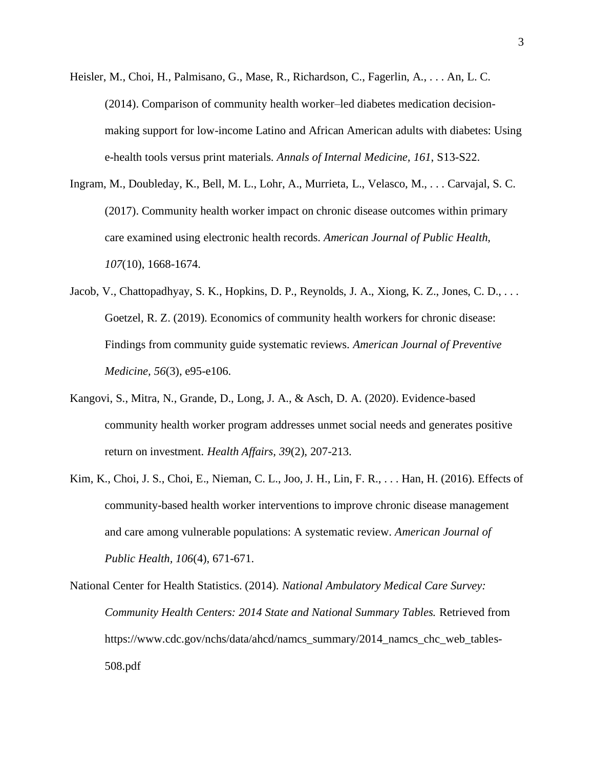- Heisler, M., Choi, H., Palmisano, G., Mase, R., Richardson, C., Fagerlin, A., . . . An, L. C. (2014). Comparison of community health worker–led diabetes medication decisionmaking support for low-income Latino and African American adults with diabetes: Using e-health tools versus print materials. *Annals of Internal Medicine, 161*, S13-S22.
- Ingram, M., Doubleday, K., Bell, M. L., Lohr, A., Murrieta, L., Velasco, M., . . . Carvajal, S. C. (2017). Community health worker impact on chronic disease outcomes within primary care examined using electronic health records. *American Journal of Public Health, 107*(10), 1668-1674.
- Jacob, V., Chattopadhyay, S. K., Hopkins, D. P., Reynolds, J. A., Xiong, K. Z., Jones, C. D., . . . Goetzel, R. Z. (2019). Economics of community health workers for chronic disease: Findings from community guide systematic reviews. *American Journal of Preventive Medicine, 56*(3), e95-e106.
- Kangovi, S., Mitra, N., Grande, D., Long, J. A., & Asch, D. A. (2020). Evidence-based community health worker program addresses unmet social needs and generates positive return on investment. *Health Affairs, 39*(2), 207-213.
- Kim, K., Choi, J. S., Choi, E., Nieman, C. L., Joo, J. H., Lin, F. R., . . . Han, H. (2016). Effects of community-based health worker interventions to improve chronic disease management and care among vulnerable populations: A systematic review. *American Journal of Public Health, 106*(4), 671-671.

National Center for Health Statistics. (2014). *National Ambulatory Medical Care Survey: Community Health Centers: 2014 State and National Summary Tables.* Retrieved from https://www.cdc.gov/nchs/data/ahcd/namcs\_summary/2014\_namcs\_chc\_web\_tables-508.pdf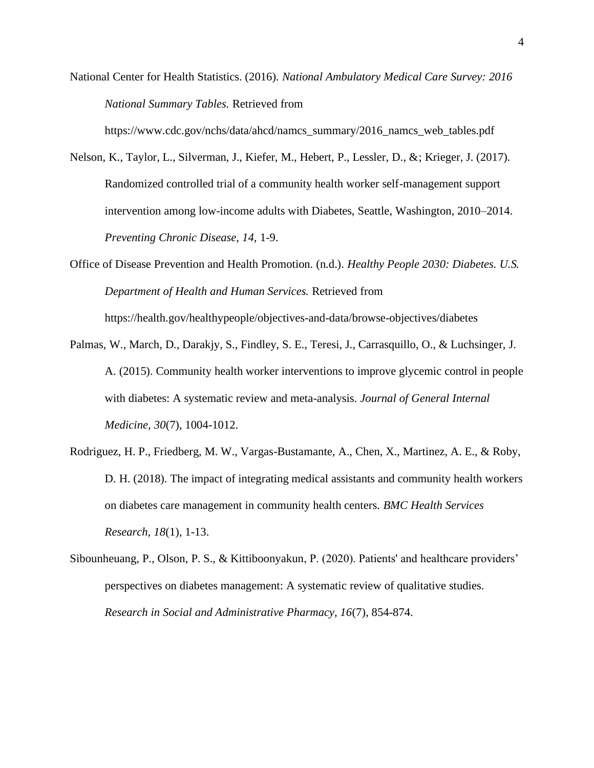National Center for Health Statistics. (2016). *National Ambulatory Medical Care Survey: 2016 National Summary Tables.* Retrieved from

https://www.cdc.gov/nchs/data/ahcd/namcs\_summary/2016\_namcs\_web\_tables.pdf

- Nelson, K., Taylor, L., Silverman, J., Kiefer, M., Hebert, P., Lessler, D., &; Krieger, J. (2017). Randomized controlled trial of a community health worker self-management support intervention among low-income adults with Diabetes, Seattle, Washington, 2010–2014. *Preventing Chronic Disease, 14,* 1-9.
- Office of Disease Prevention and Health Promotion. (n.d.). *Healthy People 2030: Diabetes. U.S. Department of Health and Human Services.* Retrieved from https://health.gov/healthypeople/objectives-and-data/browse-objectives/diabetes
- Palmas, W., March, D., Darakjy, S., Findley, S. E., Teresi, J., Carrasquillo, O., & Luchsinger, J. A. (2015). Community health worker interventions to improve glycemic control in people with diabetes: A systematic review and meta-analysis. *Journal of General Internal Medicine, 30*(7), 1004-1012.
- Rodriguez, H. P., Friedberg, M. W., Vargas-Bustamante, A., Chen, X., Martinez, A. E., & Roby, D. H. (2018). The impact of integrating medical assistants and community health workers on diabetes care management in community health centers. *BMC Health Services Research, 18*(1), 1-13.
- Sibounheuang, P., Olson, P. S., & Kittiboonyakun, P. (2020). Patients' and healthcare providers' perspectives on diabetes management: A systematic review of qualitative studies. *Research in Social and Administrative Pharmacy, 16*(7), 854-874.